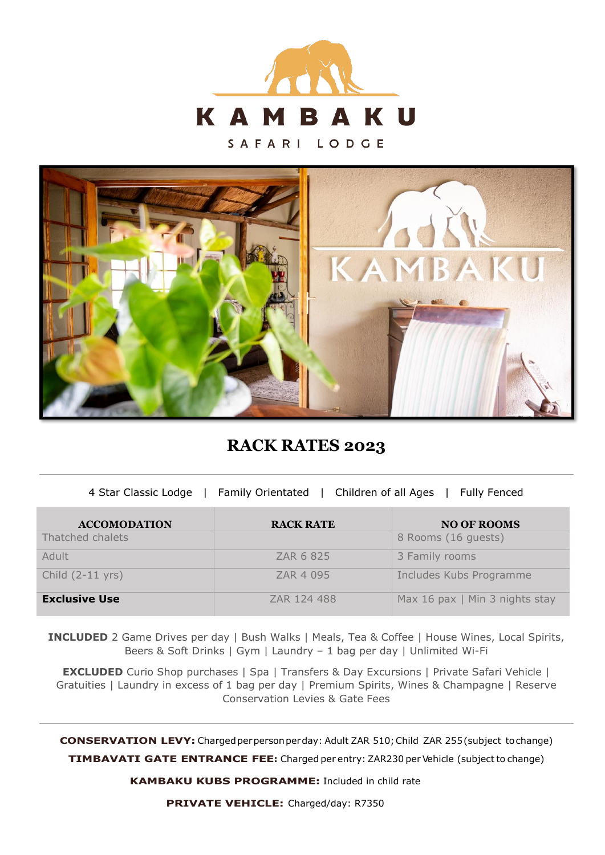

SAFARI LODGE



**RACK RATES 2023**

4 Star Classic Lodge | Family Orientated | Children of all Ages | Fully Fenced

| <b>ACCOMODATION</b>        | <b>RACK RATE</b> | <b>NO OF ROOMS</b>             |
|----------------------------|------------------|--------------------------------|
| Thatched chalets           |                  | 8 Rooms (16 guests)            |
| Adult                      | ZAR 6 825        | 3 Family rooms                 |
| Child $(2-11 \text{ yrs})$ | ZAR 4 095        | Includes Kubs Programme        |
| <b>Exclusive Use</b>       | ZAR 124 488      | Max 16 pax   Min 3 nights stay |

**INCLUDED** 2 Game Drives per day | Bush Walks | Meals, Tea & Coffee | House Wines, Local Spirits, Beers & Soft Drinks | Gym | Laundry – 1 bag per day | Unlimited Wi-Fi

**EXCLUDED** Curio Shop purchases | Spa | Transfers & Day Excursions | Private Safari Vehicle | Gratuities | Laundry in excess of 1 bag per day | Premium Spirits, Wines & Champagne | Reserve Conservation Levies & Gate Fees

**CONSERVATION LEVY:** Charged per person per day: Adult ZAR 510; Child ZAR 255 (subject to change)

**TIMBAVATI GATE ENTRANCE FEE:** Charged per entry: ZAR230 per Vehicle (subject to change)

**KAMBAKU KUBS PROGRAMME:** Included in child rate

**PRIVATE VEHICLE:** Charged/day: R7350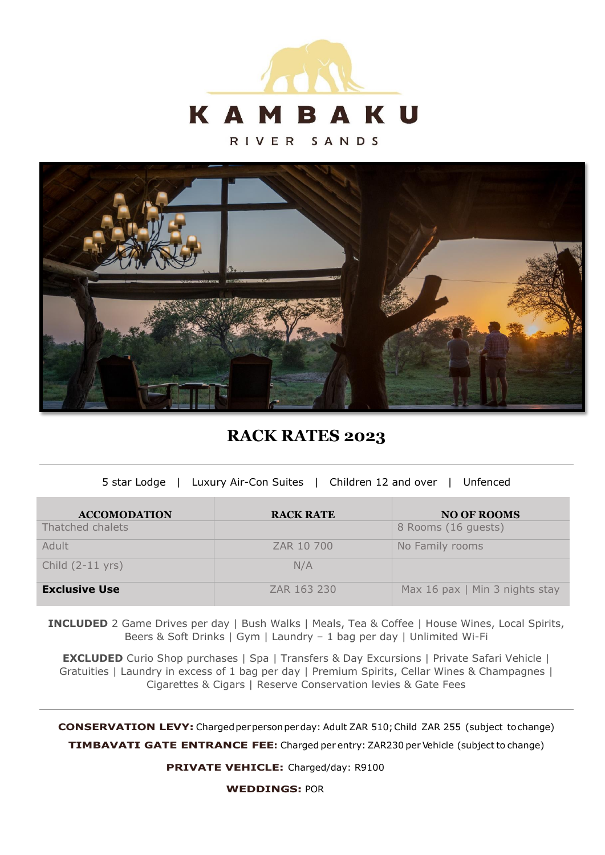

RIVER SANDS



**RACK RATES 2023**

| 5 star Lodge   Luxury Air-Con Suites   Children 12 and over   Unfenced |  |
|------------------------------------------------------------------------|--|

| <b>ACCOMODATION</b>        | <b>RACK RATE</b> | <b>NO OF ROOMS</b>             |
|----------------------------|------------------|--------------------------------|
| Thatched chalets           |                  | 8 Rooms (16 guests)            |
| Adult                      | ZAR 10 700       | No Family rooms                |
| Child $(2-11 \text{ yrs})$ | N/A              |                                |
| <b>Exclusive Use</b>       | ZAR 163 230      | Max 16 pax   Min 3 nights stay |

**INCLUDED** 2 Game Drives per day | Bush Walks | Meals, Tea & Coffee | House Wines, Local Spirits, Beers & Soft Drinks | Gym | Laundry – 1 bag per day | Unlimited Wi-Fi

**EXCLUDED** Curio Shop purchases | Spa | Transfers & Day Excursions | Private Safari Vehicle | Gratuities | Laundry in excess of 1 bag per day | Premium Spirits, Cellar Wines & Champagnes | Cigarettes & Cigars | Reserve Conservation levies & Gate Fees

**CONSERVATION LEVY:** Charged per person perday: Adult ZAR 510; Child ZAR 255 (subject to change)

**TIMBAVATI GATE ENTRANCE FEE:** Charged per entry: ZAR230 per Vehicle (subject to change)

**PRIVATE VEHICLE:** Charged/day: R9100

**WEDDINGS:** POR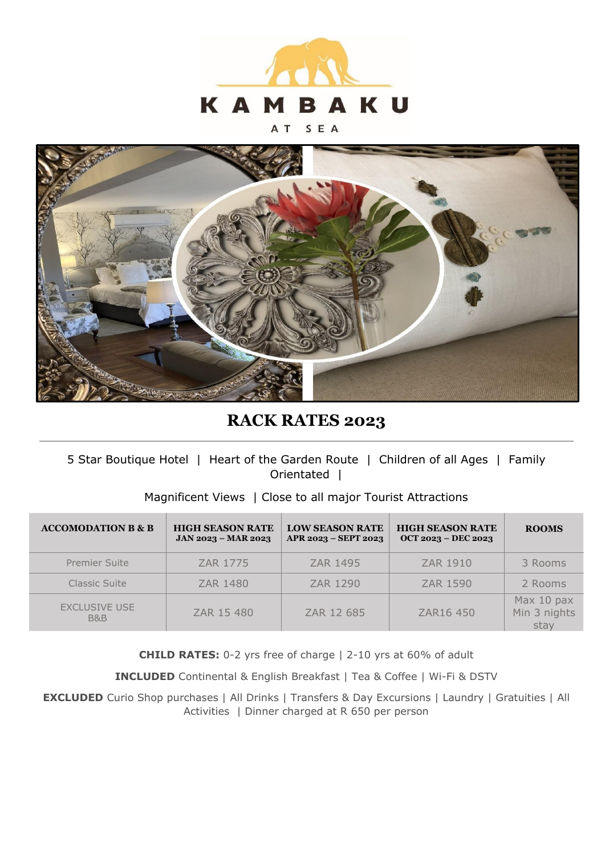

#### SEA A T



# **RACK RATES 2023**

# 5 Star Boutique Hotel | Heart of the Garden Route | Children of all Ages | Family Orientated |

# Magnificent Views | Close to all major Tourist Attractions

| <b>ACCOMODATION B &amp; B</b>          | <b>HIGH SEASON RATE</b><br>JAN 2023 - MAR 2023 | <b>LOW SEASON RATE</b><br>APR 2023 - SEPT 2023 | <b>HIGH SEASON RATE</b><br>OCT 2023 - DEC 2023 | <b>ROOMS</b>                       |
|----------------------------------------|------------------------------------------------|------------------------------------------------|------------------------------------------------|------------------------------------|
| <b>Premier Suite</b>                   | ZAR 1775                                       | ZAR 1495                                       | ZAR 1910                                       | 3 Rooms                            |
| Classic Suite                          | ZAR 1480                                       | ZAR 1290                                       | ZAR 1590                                       | 2 Rooms                            |
| <b>EXCLUSIVE USE</b><br><b>B&amp;B</b> | ZAR 15 480                                     | ZAR 12 685                                     | ZAR16 450                                      | Max 10 pax<br>Min 3 nights<br>stay |

**CHILD RATES:** 0-2 yrs free of charge | 2-10 yrs at 60% of adult

**INCLUDED** Continental & English Breakfast | Tea & Coffee | Wi-Fi & DSTV

**EXCLUDED** Curio Shop purchases | All Drinks | Transfers & Day Excursions | Laundry | Gratuities | All Activities | Dinner charged at R 650 per person